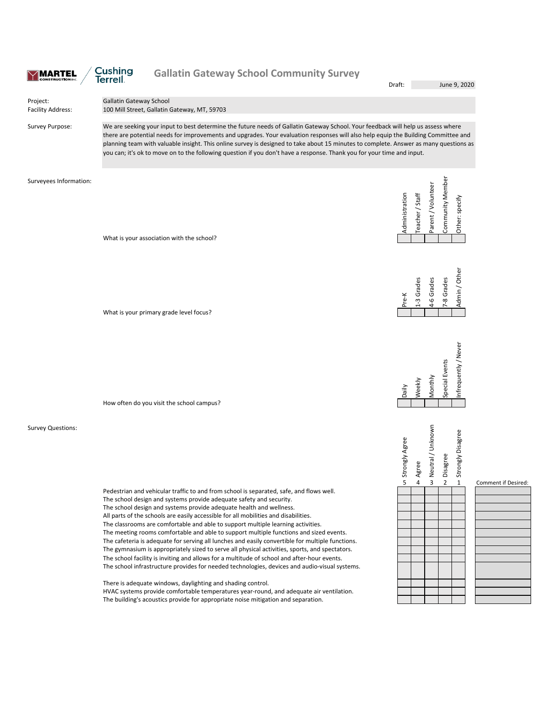